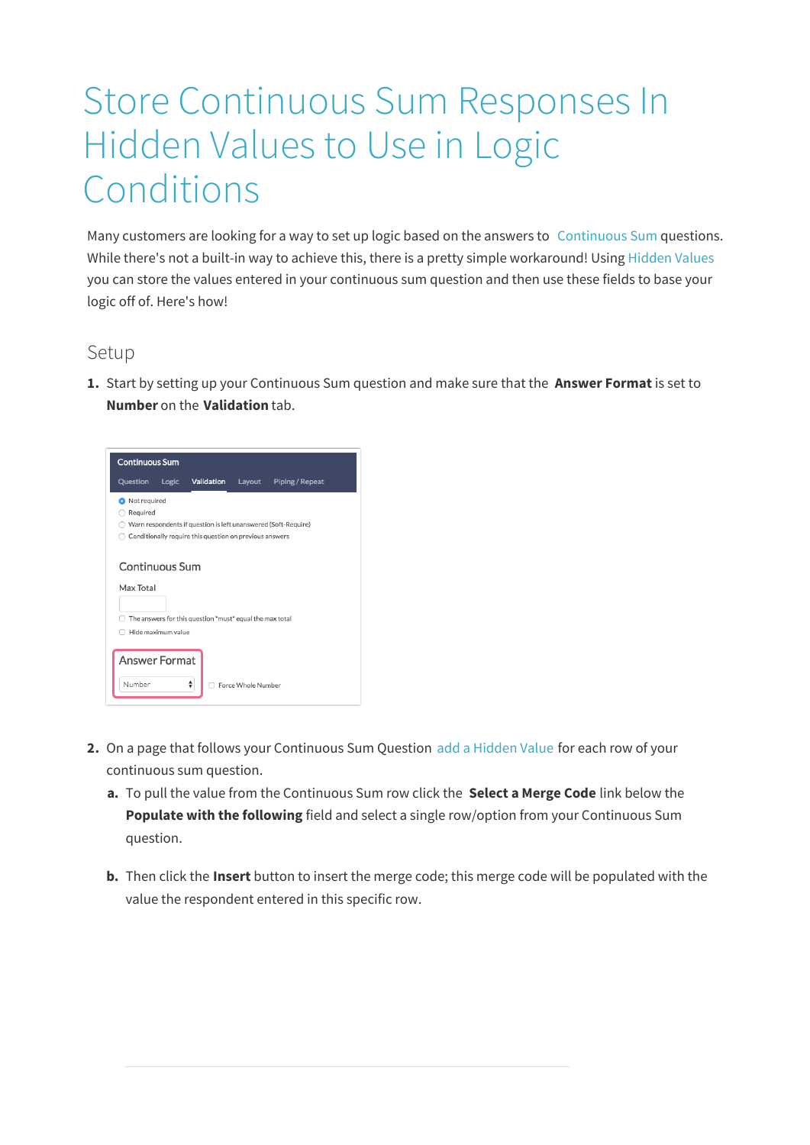## Store Continuous Sum Responses In Hidden Values to Use in Logic Conditions

Many customers are looking for a way to set up logic based on the answers to Continuous Sum questions. While there's not a built-in way to achieve this, there is a pretty simple workaround! Using Hidden Values you can store the values entered in your continuous sum question and then use these fields to base your logic off of. Here's how!

## Setup

**1.** Start by setting up your Continuous Sum question and make sure that the **Answer Format** is set to **Number** on the **Validation** tab.



- **2.** On a page that follows your Continuous Sum Question add a Hidden Value for each row of your continuous sum question.
	- **a.** To pull the value from the Continuous Sum row click the **Select a Merge Code** link below the **Populate with the following** field and select a single row/option from your Continuous Sum question.
	- **b.** Then click the **Insert** button to insert the merge code; this merge code will be populated with the value the respondent entered in this specific row.